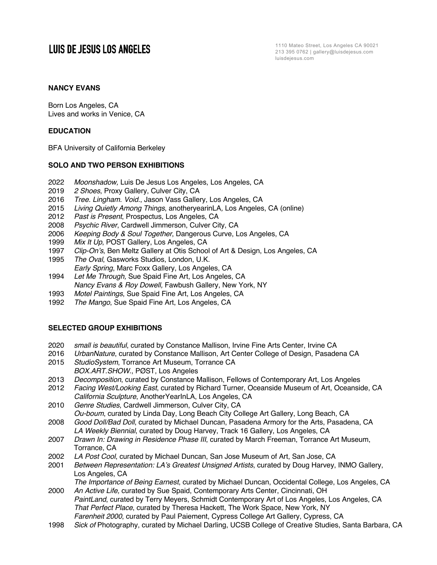# **LUIS DE JESUS LOS ANGELES**

1110 Mateo Street, Los Angeles CA 90021 213 395 0762 | gallery@luisdejesus.com luisdejesus.com

# **NANCY EVANS**

Born Los Angeles, CA Lives and works in Venice, CA

# **EDUCATION**

BFA University of California Berkeley

# **SOLO AND TWO PERSON EXHIBITIONS**

- 2022 *Moonshadow,* Luis De Jesus Los Angeles, Los Angeles, CA
- 2019 *2 Shoes*, Proxy Gallery, Culver City, CA
- 2016 *Tree. Lingham. Void.*, Jason Vass Gallery, Los Angeles, CA
- 2015 *Living Quietly Among Things*, anotheryearinLA*,* Los Angeles, CA (online)
- 2012 *Past is Present*, Prospectus, Los Angeles, CA
- 2008 *Psychic River*, Cardwell Jimmerson, Culver City, CA
- 2006 *Keeping Body & Soul Together*, Dangerous Curve, Los Angeles, CA
- 1999 *Mix It Up*, POST Gallery, Los Angeles, CA
- 1997 *Clip-On's*, Ben Meltz Gallery at Otis School of Art & Design, Los Angeles, CA
- 1995 *The Oval*, Gasworks Studios, London, U.K. *Early Spring*, Marc Foxx Gallery, Los Angeles, CA
- 1994 *Let Me Through,* Sue Spaid Fine Art, Los Angeles, CA *Nancy Evans & Roy Dowell,* Fawbush Gallery, New York, NY
- 1993 *Motel Paintings*, Sue Spaid Fine Art, Los Angeles, CA
- 1992 *The Mango*, Sue Spaid Fine Art, Los Angeles, CA

# **SELECTED GROUP EXHIBITIONS**

- 2020 *small is beautiful*, curated by Constance Mallison, Irvine Fine Arts Center, Irvine CA
- 2016 *UrbanNature*, curated by Constance Mallison, Art Center College of Design, Pasadena CA
- 2015 *StudioSystem*, Torrance Art Museum, Torrance CA *BOX.ART.SHOW*., PØST, Los Angeles
- 2013 *Decomposition*, curated by Constance Mallison, Fellows of Contemporary Art, Los Angeles
- 2012 *Facing West/Looking East*, curated by Richard Turner, Oceanside Museum of Art, Oceanside, CA *California Sculpture*, AnotherYearInLA, Los Angeles, CA
- 2010 *Genre Studies*, Cardwell Jimmerson, Culver City, CA
- *Ou-boum*, curated by Linda Day, Long Beach City College Art Gallery, Long Beach, CA 2008 *Good Doll/Bad Doll*, curated by Michael Duncan, Pasadena Armory for the Arts, Pasadena, CA
- *LA Weekly Biennial*, curated by Doug Harvey, Track 16 Gallery, Los Angeles, CA
- 2007 *Drawn In: Drawing in Residence Phase III*, curated by March Freeman, Torrance Art Museum, Torrance, CA
- 2002 *LA Post Cool*, curated by Michael Duncan, San Jose Museum of Art, San Jose, CA
- 2001 *Between Representation: LA's Greatest Unsigned Artists*, curated by Doug Harvey, INMO Gallery, Los Angeles, CA
- *The Importance of Being Earnest*, curated by Michael Duncan, Occidental College, Los Angeles, CA 2000 *An Active Life,* curated by Sue Spaid, Contemporary Arts Center, Cincinnati, OH
- *PaintLand*, curated by Terry Meyers, Schmidt Contemporary Art of Los Angeles, Los Angeles, CA *That Perfect Place*, curated by Theresa Hackett, The Work Space, New York, NY *Farenheit 2000*, curated by Paul Paiement, Cypress College Art Gallery, Cypress, CA
- 1998 *Sick of* Photography, curated by Michael Darling, UCSB College of Creative Studies, Santa Barbara, CA